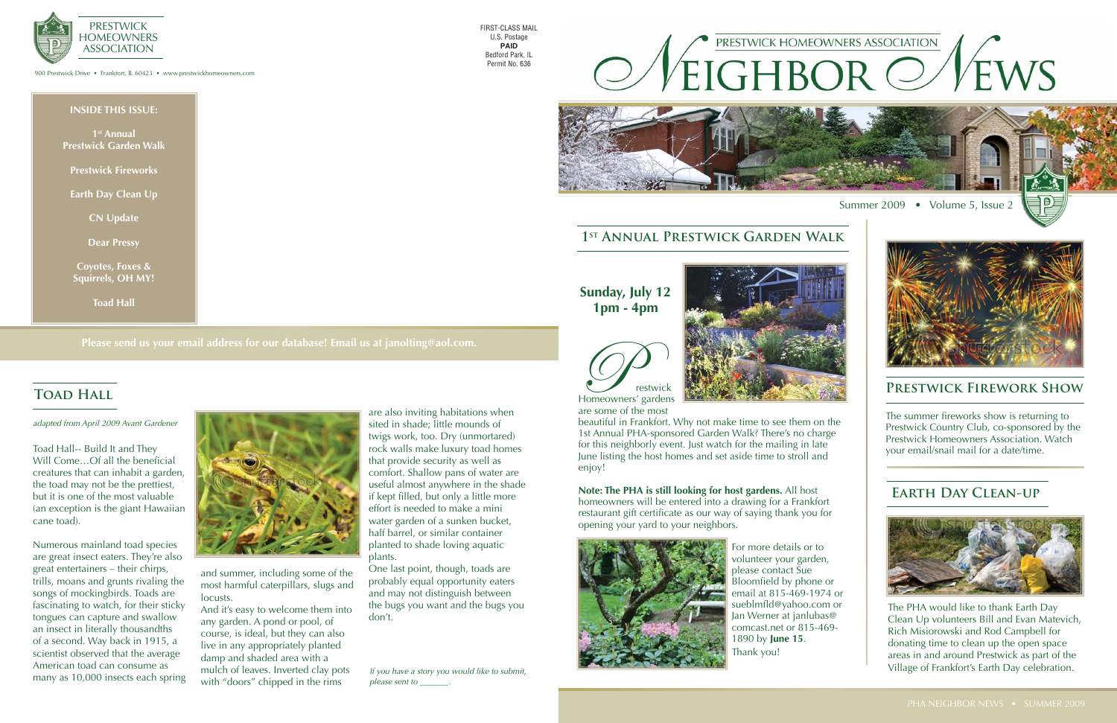### **INSIDE THIS ISSUE:**

**1st Annual Prestwick Garden Walk**

**Prestwick Fireworks**

**Earth Day Clean Up**

**CN Update**

**Dear Pressy**

**Coyotes, Foxes & Squirrels, OH MY!**

**Toad Hall**

900 Prestwick Drive • Frankfort, IL 60423 • www.prestwickhomeowners.com



## **Please send us your email address for our database! Email us at janolting@aol.com.**

# **TOAD HALL**

FIRST-CLASS MAIL U.S. Postage **PAID** Bedford Park, IL Permit No. 636



## **1st Annual Prestwick Garden Walk**

Toad Hall-- Build It and They Will Come...Of all the beneficial creatures that can inhabit a garden, the toad may not be the prettiest, but it is one of the most valuable (an exception is the giant Hawaiian cane toad).

Numerous mainland toad species are great insect eaters. They're also great entertainers – their chirps, trills, moans and grunts rivaling the songs of mockingbirds. Toads are fascinating to watch, for their sticky tongues can capture and swallow an insect in literally thousandths of a second. Way back in 1915, a scientist observed that the average American toad can consume as many as 10,000 insects each spring



and summer, including some of the most harmful caterpillars, slugs and locusts.

And it's easy to welcome them into any garden. A pond or pool, of course, is ideal, but they can also live in any appropriately planted damp and shaded area with a mulch of leaves. Inverted clay pots with "doors" chipped in the rims

The summer fireworks show is returning to Prestwick Country Club, co-sponsored by the Prestwick Homeowners Association. Watch your email/snail mail for a date/time.

are also inviting habitations when sited in shade; little mounds of twigs work, too. Dry (unmortared) rock walls make luxury toad homes that provide security as well as comfort. Shallow pans of water are useful almost anywhere in the shade if kept filled, but only a little more effort is needed to make a mini water garden of a sunken bucket, half barrel, or similar container planted to shade loving aquatic plants.

One last point, though, toads are probably equal opportunity eaters and may not distinguish between the bugs you want and the bugs you don't.





are some of the most

beautiful in Frankfort. Why not make time to see them on the 1st Annual PHA-sponsored Garden Walk? There's no charge for this neighborly event. Just watch for the mailing in late June listing the host homes and set aside time to stroll and enjoy!

**Note: The PHA is still looking for host gardens.** All host homeowners will be entered into a drawing for a Frankfort restaurant gift certificate as our way of saying thank you for opening your yard to your neighbors.



For more details or to volunteer your garden, please contact Sue Bloomfield by phone or email at 815-469-1974 or sueblmfld@yahoo.com or Jan Werner at janlubas@ comcast.net or 815-469- 1890 by **June 15**. Thank you!

**Sunday, July 12 1pm - 4pm**

## **Prestwick Firework Show**

# **Earth Day Clean-up**



The PHA would like to thank Earth Day Clean Up volunteers Bill and Evan Matevich, Rich Misiorowski and Rod Campbell for donating time to clean up the open space areas in and around Prestwick as part of the Village of Frankfort's Earth Day celebration.

*adapted from April 2009 Avant Gardener*

*If you have a story you would like to submit, please sent to \_\_\_\_\_\_\_.*